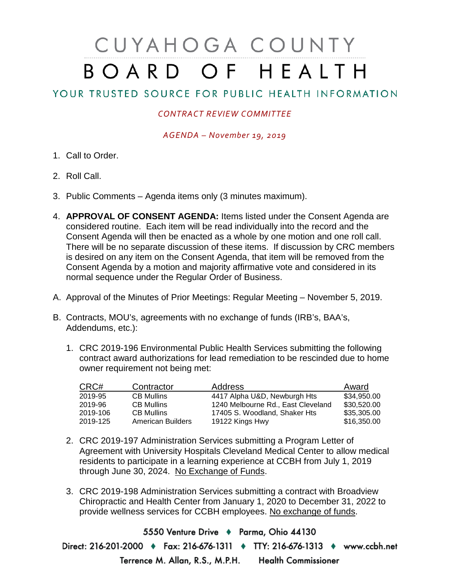## CUYAHOGA COUNTY BOARD OF HEALTH

## YOUR TRUSTED SOURCE FOR PUBLIC HEALTH INFORMATION

## *CONTRACT REVIEW COMMITTEE*

*AGENDA – November 19, 2019*

- 1. Call to Order.
- 2. Roll Call.
- 3. Public Comments Agenda items only (3 minutes maximum).
- 4. **APPROVAL OF CONSENT AGENDA:** Items listed under the Consent Agenda are considered routine. Each item will be read individually into the record and the Consent Agenda will then be enacted as a whole by one motion and one roll call. There will be no separate discussion of these items. If discussion by CRC members is desired on any item on the Consent Agenda, that item will be removed from the Consent Agenda by a motion and majority affirmative vote and considered in its normal sequence under the Regular Order of Business.
- A. Approval of the Minutes of Prior Meetings: Regular Meeting November 5, 2019.
- B. Contracts, MOU's, agreements with no exchange of funds (IRB's, BAA's, Addendums, etc.):
	- 1. CRC 2019-196 Environmental Public Health Services submitting the following contract award authorizations for lead remediation to be rescinded due to home owner requirement not being met:

| CRC#     | Contractor               | <b>Address</b>                     | Award       |
|----------|--------------------------|------------------------------------|-------------|
| 2019-95  | <b>CB Mullins</b>        | 4417 Alpha U&D, Newburgh Hts       | \$34,950.00 |
| 2019-96  | <b>CB Mullins</b>        | 1240 Melbourne Rd., East Cleveland | \$30,520.00 |
| 2019-106 | <b>CB Mullins</b>        | 17405 S. Woodland, Shaker Hts      | \$35,305,00 |
| 2019-125 | <b>American Builders</b> | 19122 Kings Hwy                    | \$16,350.00 |

- 2. CRC 2019-197 Administration Services submitting a Program Letter of Agreement with University Hospitals Cleveland Medical Center to allow medical residents to participate in a learning experience at CCBH from July 1, 2019 through June 30, 2024. No Exchange of Funds.
- 3. CRC 2019-198 Administration Services submitting a contract with Broadview Chiropractic and Health Center from January 1, 2020 to December 31, 2022 to provide wellness services for CCBH employees. No exchange of funds.

5550 Venture Drive + Parma, Ohio 44130 Direct: 216-201-2000 • Fax: 216-676-1311 • TTY: 216-676-1313 • www.ccbh.net Terrence M. Allan, R.S., M.P.H. Health Commissioner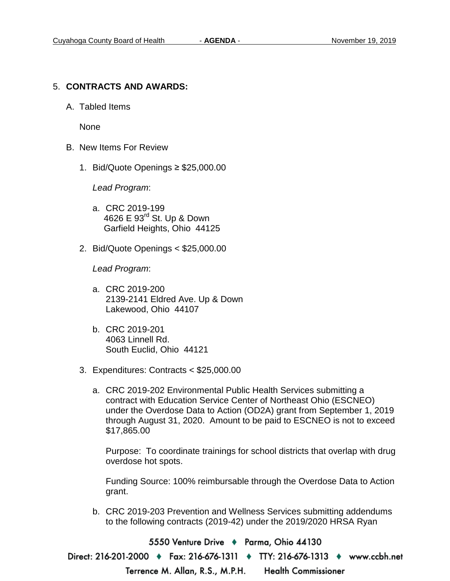## 5. **CONTRACTS AND AWARDS:**

A. Tabled Items

None

- B. New Items For Review
	- 1. Bid/Quote Openings ≥ \$25,000.00

*Lead Program*:

- a. CRC 2019-199 4626 E 93rd St. Up & Down Garfield Heights, Ohio 44125
- 2. Bid/Quote Openings < \$25,000.00

*Lead Program*:

- a. CRC 2019-200 2139-2141 Eldred Ave. Up & Down Lakewood, Ohio 44107
- b. CRC 2019-201 4063 Linnell Rd. South Euclid, Ohio 44121
- 3. Expenditures: Contracts < \$25,000.00
	- a. CRC 2019-202 Environmental Public Health Services submitting a contract with Education Service Center of Northeast Ohio (ESCNEO) under the Overdose Data to Action (OD2A) grant from September 1, 2019 through August 31, 2020. Amount to be paid to ESCNEO is not to exceed \$17,865.00

Purpose: To coordinate trainings for school districts that overlap with drug overdose hot spots.

Funding Source: 100% reimbursable through the Overdose Data to Action grant.

b. CRC 2019-203 Prevention and Wellness Services submitting addendums to the following contracts (2019-42) under the 2019/2020 HRSA Ryan

5550 Venture Drive → Parma, Ohio 44130

Direct: 216-201-2000 • Fax: 216-676-1311 • TTY: 216-676-1313 • www.ccbh.net

**Health Commissioner** Terrence M. Allan, R.S., M.P.H.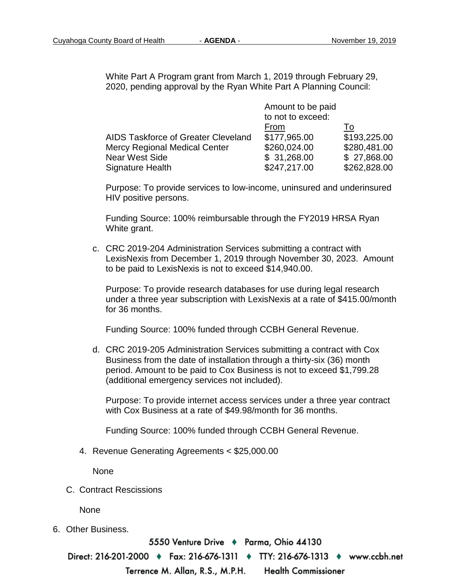White Part A Program grant from March 1, 2019 through February 29, 2020, pending approval by the Ryan White Part A Planning Council:

|                                      | Amount to be paid |              |
|--------------------------------------|-------------------|--------------|
|                                      | to not to exceed: |              |
|                                      | From              | To           |
| AIDS Taskforce of Greater Cleveland  | \$177,965.00      | \$193,225.00 |
| <b>Mercy Regional Medical Center</b> | \$260,024.00      | \$280,481.00 |
| <b>Near West Side</b>                | \$31,268.00       | \$27,868.00  |
| Signature Health                     | \$247,217.00      | \$262,828.00 |

Purpose: To provide services to low-income, uninsured and underinsured HIV positive persons.

Funding Source: 100% reimbursable through the FY2019 HRSA Ryan White grant.

c. CRC 2019-204 Administration Services submitting a contract with LexisNexis from December 1, 2019 through November 30, 2023. Amount to be paid to LexisNexis is not to exceed \$14,940.00.

Purpose: To provide research databases for use during legal research under a three year subscription with LexisNexis at a rate of \$415.00/month for 36 months.

Funding Source: 100% funded through CCBH General Revenue.

d. CRC 2019-205 Administration Services submitting a contract with Cox Business from the date of installation through a thirty-six (36) month period. Amount to be paid to Cox Business is not to exceed \$1,799.28 (additional emergency services not included).

Purpose: To provide internet access services under a three year contract with Cox Business at a rate of \$49.98/month for 36 months.

Funding Source: 100% funded through CCBH General Revenue.

4. Revenue Generating Agreements < \$25,000.00

None

C. Contract Rescissions

None

6. Other Business.

5550 Venture Drive → Parma, Ohio 44130

Direct: 216-201-2000 ♦ Fax: 216-676-1311 ♦ TTY: 216-676-1313 ♦ www.ccbh.net

Terrence M. Allan, R.S., M.P.H. **Health Commissioner**